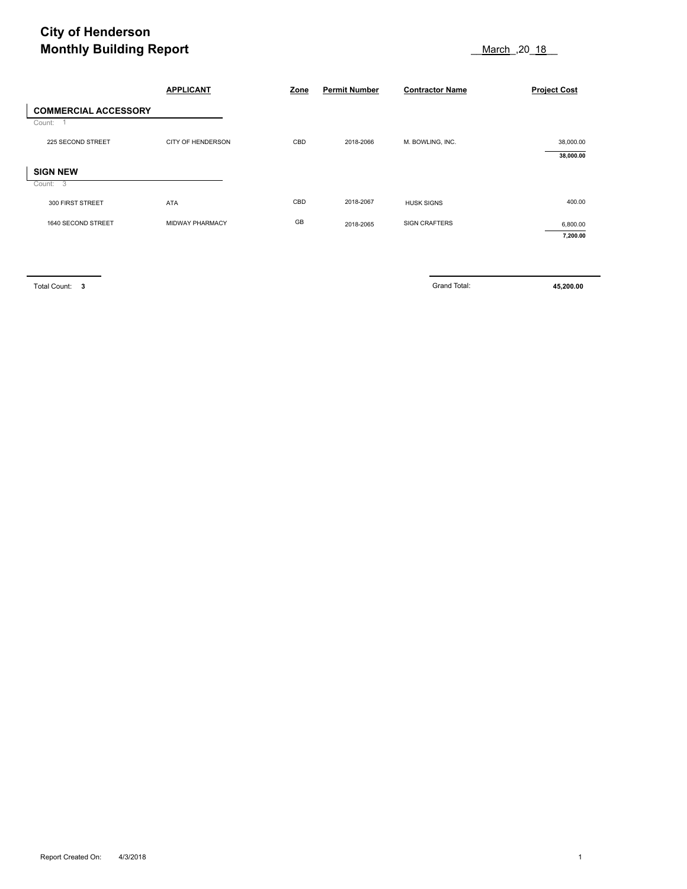## **City of Henderson Monthly Building Report Contract Contract Contract Contract Contract Contract Contract Contract Contract Contract Contract Contract Contract Contract Contract Contract Contract Contract Contract Contract Contract Contra**

| <b>Monthly Building Report</b> |                   |      |                      | 18 March ,20 18        |                     |  |
|--------------------------------|-------------------|------|----------------------|------------------------|---------------------|--|
|                                | <b>APPLICANT</b>  | Zone | <b>Permit Number</b> | <b>Contractor Name</b> | <b>Project Cost</b> |  |
| <b>COMMERCIAL ACCESSORY</b>    |                   |      |                      |                        |                     |  |
| Count:                         |                   |      |                      |                        |                     |  |
| 225 SECOND STREET              | CITY OF HENDERSON | CBD  | 2018-2066            | M. BOWLING, INC.       | 38,000.00           |  |
|                                |                   |      |                      |                        | 38,000.00           |  |
| <b>SIGN NEW</b>                |                   |      |                      |                        |                     |  |
| Count: 3                       |                   |      |                      |                        |                     |  |
| 300 FIRST STREET               | <b>ATA</b>        | CBD  | 2018-2067            | <b>HUSK SIGNS</b>      | 400.00              |  |
| 1640 SECOND STREET             | MIDWAY PHARMACY   | GB   | 2018-2065            | <b>SIGN CRAFTERS</b>   | 6,800.00            |  |
|                                |                   |      |                      |                        | 7,200.00            |  |

Total Count: **3** Grand Total: **45,200.00**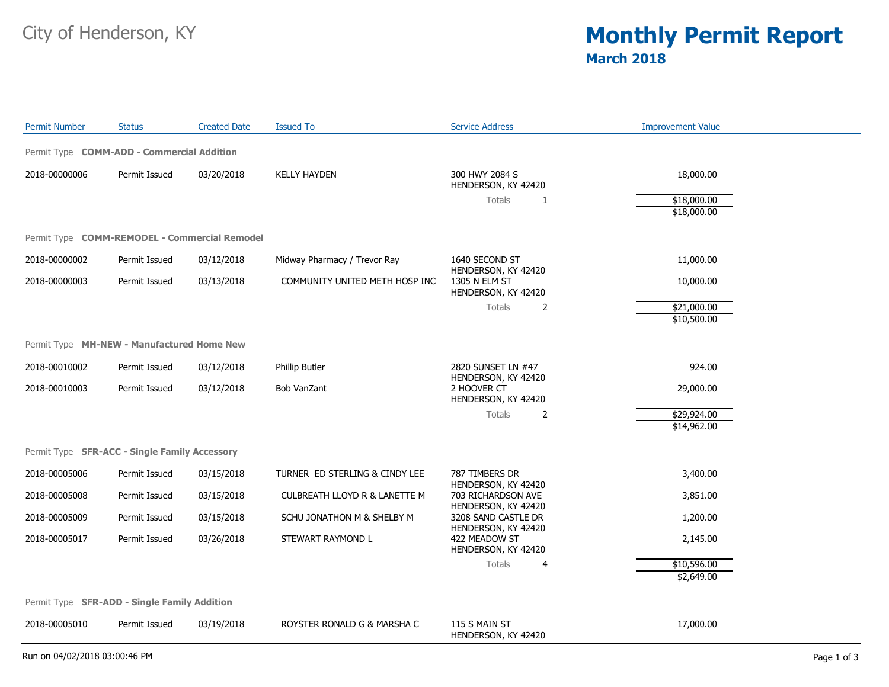## City of Henderson, KY **Monthly Permit Report March 2018**

| <b>Permit Number</b>                          | <b>Status</b> | <b>Created Date</b> | <b>Issued To</b>                         | <b>Service Address</b>                     | <b>Improvement Value</b>   |  |  |
|-----------------------------------------------|---------------|---------------------|------------------------------------------|--------------------------------------------|----------------------------|--|--|
| Permit Type COMM-ADD - Commercial Addition    |               |                     |                                          |                                            |                            |  |  |
| 2018-00000006                                 | Permit Issued | 03/20/2018          | <b>KELLY HAYDEN</b>                      | 300 HWY 2084 S<br>HENDERSON, KY 42420      | 18,000.00                  |  |  |
|                                               |               |                     |                                          | Totals<br>1                                | \$18,000.00<br>\$18,000.00 |  |  |
|                                               |               |                     |                                          |                                            |                            |  |  |
| Permit Type COMM-REMODEL - Commercial Remodel |               |                     |                                          |                                            |                            |  |  |
| 2018-00000002                                 | Permit Issued | 03/12/2018          | Midway Pharmacy / Trevor Ray             | 1640 SECOND ST<br>HENDERSON, KY 42420      | 11,000.00                  |  |  |
| 2018-00000003                                 | Permit Issued | 03/13/2018          | COMMUNITY UNITED METH HOSP INC           | 1305 N ELM ST<br>HENDERSON, KY 42420       | 10,000.00                  |  |  |
|                                               |               |                     |                                          | Totals<br>$\overline{2}$                   | \$21,000.00                |  |  |
|                                               |               |                     |                                          |                                            | \$10,500.00                |  |  |
| Permit Type MH-NEW - Manufactured Home New    |               |                     |                                          |                                            |                            |  |  |
| 2018-00010002                                 | Permit Issued | 03/12/2018          | Phillip Butler                           | 2820 SUNSET LN #47<br>HENDERSON, KY 42420  | 924.00                     |  |  |
| 2018-00010003                                 | Permit Issued | 03/12/2018          | <b>Bob VanZant</b>                       | 2 HOOVER CT<br>HENDERSON, KY 42420         | 29,000.00                  |  |  |
|                                               |               |                     |                                          | Totals<br>$\overline{2}$                   | \$29,924.00                |  |  |
|                                               |               |                     |                                          |                                            | \$14,962.00                |  |  |
| Permit Type SFR-ACC - Single Family Accessory |               |                     |                                          |                                            |                            |  |  |
| 2018-00005006                                 | Permit Issued | 03/15/2018          | TURNER ED STERLING & CINDY LEE           | 787 TIMBERS DR<br>HENDERSON, KY 42420      | 3,400.00                   |  |  |
| 2018-00005008                                 | Permit Issued | 03/15/2018          | <b>CULBREATH LLOYD R &amp; LANETTE M</b> | 703 RICHARDSON AVE<br>HENDERSON, KY 42420  | 3,851.00                   |  |  |
| 2018-00005009                                 | Permit Issued | 03/15/2018          | SCHU JONATHON M & SHELBY M               | 3208 SAND CASTLE DR<br>HENDERSON, KY 42420 | 1,200.00                   |  |  |
| 2018-00005017                                 | Permit Issued | 03/26/2018          | STEWART RAYMOND L                        | 422 MEADOW ST<br>HENDERSON, KY 42420       | 2,145.00                   |  |  |
|                                               |               |                     |                                          | Totals<br>4                                | \$10,596.00                |  |  |
|                                               |               |                     |                                          |                                            | \$2,649.00                 |  |  |
| Permit Type SFR-ADD - Single Family Addition  |               |                     |                                          |                                            |                            |  |  |
| 2018-00005010                                 | Permit Issued | 03/19/2018          | ROYSTER RONALD G & MARSHA C              | 115 S MAIN ST<br>HENDERSON, KY 42420       | 17,000.00                  |  |  |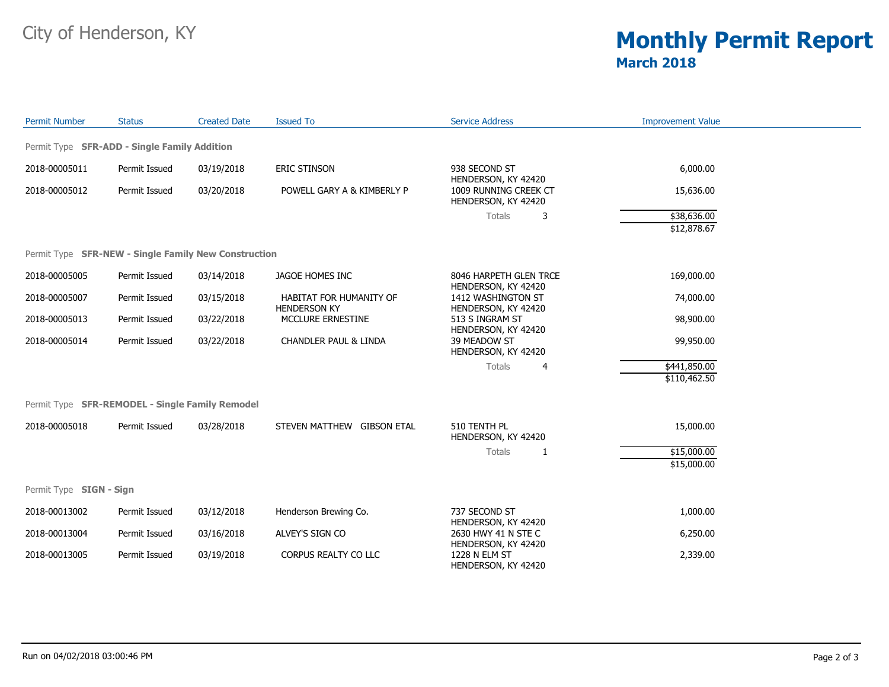## City of Henderson, KY **Monthly Permit Report March 2018**

| <b>Permit Number</b>                                 | <b>Status</b>                                                                                           | <b>Created Date</b> | <b>Issued To</b>                               | <b>Service Address</b>                        | <b>Improvement Value</b> |  |
|------------------------------------------------------|---------------------------------------------------------------------------------------------------------|---------------------|------------------------------------------------|-----------------------------------------------|--------------------------|--|
| Permit Type SFR-ADD - Single Family Addition         |                                                                                                         |                     |                                                |                                               |                          |  |
| 2018-00005011                                        | Permit Issued                                                                                           | 03/19/2018          | ERIC STINSON                                   | 938 SECOND ST                                 | 6,000.00                 |  |
| 2018-00005012                                        | HENDERSON, KY 42420<br>Permit Issued<br>POWELL GARY A & KIMBERLY P<br>03/20/2018<br>HENDERSON, KY 42420 |                     | 1009 RUNNING CREEK CT                          | 15,636.00                                     |                          |  |
|                                                      |                                                                                                         |                     |                                                | Totals<br>3                                   | \$38,636.00              |  |
|                                                      |                                                                                                         |                     |                                                |                                               | \$12,878.67              |  |
| Permit Type SFR-NEW - Single Family New Construction |                                                                                                         |                     |                                                |                                               |                          |  |
| 2018-00005005                                        | Permit Issued                                                                                           | 03/14/2018          | JAGOE HOMES INC                                | 8046 HARPETH GLEN TRCE<br>HENDERSON, KY 42420 | 169,000.00               |  |
| 2018-00005007                                        | Permit Issued                                                                                           | 03/15/2018          | HABITAT FOR HUMANITY OF<br><b>HENDERSON KY</b> | 1412 WASHINGTON ST<br>HENDERSON, KY 42420     | 74,000.00                |  |
| 2018-00005013                                        | Permit Issued                                                                                           | 03/22/2018          | MCCLURE ERNESTINE                              | 513 S INGRAM ST<br>HENDERSON, KY 42420        | 98,900.00                |  |
| 2018-00005014                                        | Permit Issued                                                                                           | 03/22/2018          | CHANDLER PAUL & LINDA                          | 39 MEADOW ST<br>HENDERSON, KY 42420           | 99,950.00                |  |
|                                                      |                                                                                                         |                     |                                                | Totals<br>4                                   | \$441,850.00             |  |
|                                                      |                                                                                                         |                     |                                                |                                               | \$110,462.50             |  |
| Permit Type SFR-REMODEL - Single Family Remodel      |                                                                                                         |                     |                                                |                                               |                          |  |
| 2018-00005018                                        | Permit Issued                                                                                           | 03/28/2018          | STEVEN MATTHEW GIBSON ETAL                     | 510 TENTH PL<br>HENDERSON, KY 42420           | 15,000.00                |  |
|                                                      |                                                                                                         |                     |                                                | Totals<br>1                                   | \$15,000.00              |  |
|                                                      |                                                                                                         |                     |                                                |                                               | \$15,000.00              |  |
| Permit Type SIGN - Sign                              |                                                                                                         |                     |                                                |                                               |                          |  |
| 2018-00013002                                        | Permit Issued                                                                                           | 03/12/2018          | Henderson Brewing Co.                          | 737 SECOND ST<br>HENDERSON, KY 42420          | 1,000.00                 |  |
| 2018-00013004                                        | Permit Issued                                                                                           | 03/16/2018          | ALVEY'S SIGN CO                                | 2630 HWY 41 N STE C<br>HENDERSON, KY 42420    | 6,250.00                 |  |
| 2018-00013005                                        | Permit Issued                                                                                           | 03/19/2018          | CORPUS REALTY CO LLC                           | 1228 N ELM ST<br>HENDERSON, KY 42420          | 2,339.00                 |  |